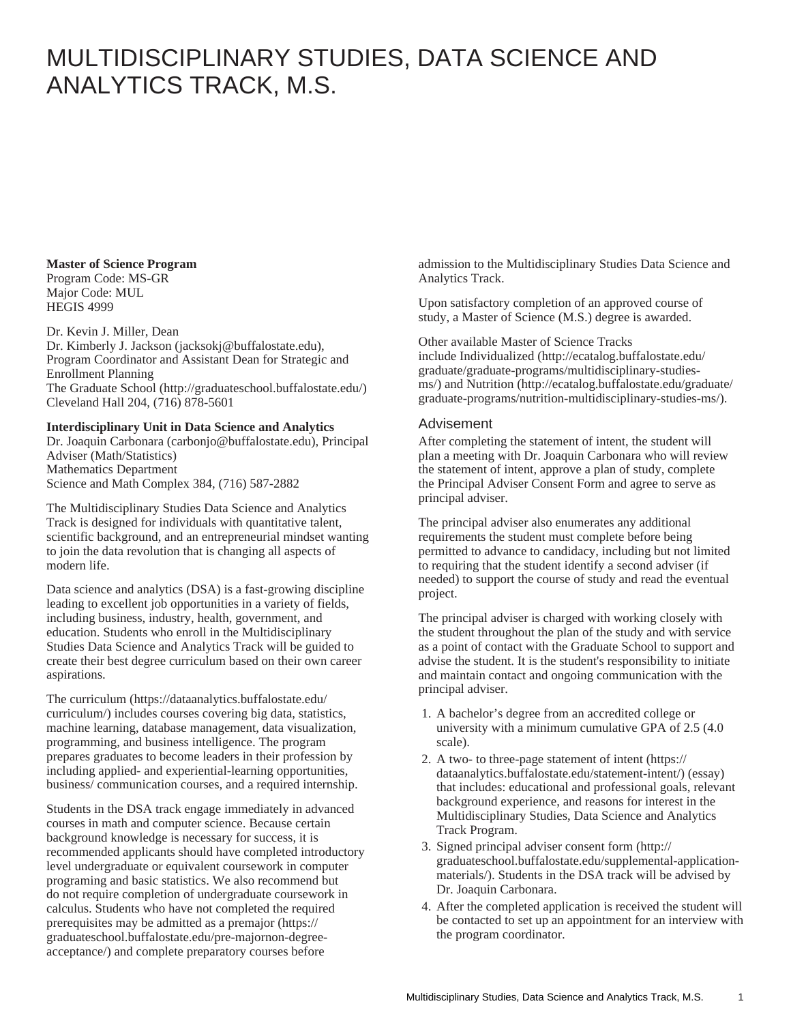## MULTIDISCIPLINARY STUDIES, DATA SCIENCE AND ANALYTICS TRACK, M.S.

## **Master of Science Program**

Program Code: MS-GR Major Code: MUL HEGIS 4999

Dr. Kevin J. Miller, Dean

[Dr. Kimberly J. Jackson](mailto:jacksokj@buffalostate.edu) (<jacksokj@buffalostate.edu>), Program Coordinator and Assistant Dean for Strategic and Enrollment Planning [The Graduate School](http://graduateschool.buffalostate.edu/) ([http://graduateschool.buffalostate.edu/\)](http://graduateschool.buffalostate.edu/) Cleveland Hall 204, (716) 878-5601

## **Interdisciplinary Unit in Data Science and Analytics**

[Dr. Joaquin Carbonara](mailto:carbonjo@buffalostate.edu) ([carbonjo@buffalostate.edu\)](carbonjo@buffalostate.edu), Principal Adviser (Math/Statistics) Mathematics Department Science and Math Complex 384, (716) 587-2882

The Multidisciplinary Studies Data Science and Analytics Track is designed for individuals with quantitative talent, scientific background, and an entrepreneurial mindset wanting to join the data revolution that is changing all aspects of modern life.

Data science and analytics (DSA) is a fast-growing discipline leading to excellent job opportunities in a variety of fields, including business, industry, health, government, and education. Students who enroll in the Multidisciplinary Studies Data Science and Analytics Track will be guided to create their best degree curriculum based on their own career aspirations.

The [curriculum](https://dataanalytics.buffalostate.edu/curriculum/) ([https://dataanalytics.buffalostate.edu/](https://dataanalytics.buffalostate.edu/curriculum/) [curriculum/\)](https://dataanalytics.buffalostate.edu/curriculum/) includes courses covering big data, statistics, machine learning, database management, data visualization, programming, and business intelligence. The program prepares graduates to become leaders in their profession by including applied- and experiential-learning opportunities, business/ communication courses, and a required internship.

Students in the DSA track engage immediately in advanced courses in math and computer science. Because certain background knowledge is necessary for success, it is recommended applicants should have completed introductory level undergraduate or equivalent coursework in computer programing and basic statistics. We also recommend but do not require completion of undergraduate coursework in calculus. Students who have not completed the required prerequisites may be admitted as a [premajor \(https://](https://graduateschool.buffalostate.edu/pre-majornon-degree-acceptance/) [graduateschool.buffalostate.edu/pre-majornon-degree](https://graduateschool.buffalostate.edu/pre-majornon-degree-acceptance/)[acceptance/\)](https://graduateschool.buffalostate.edu/pre-majornon-degree-acceptance/) and complete preparatory courses before

admission to the Multidisciplinary Studies Data Science and Analytics Track.

Upon satisfactory completion of an approved course of study, a Master of Science (M.S.) degree is awarded.

Other available Master of Science Tracks include [Individualized](http://ecatalog.buffalostate.edu/graduate/graduate-programs/multidisciplinary-studies-ms/) ([http://ecatalog.buffalostate.edu/](http://ecatalog.buffalostate.edu/graduate/graduate-programs/multidisciplinary-studies-ms/) [graduate/graduate-programs/multidisciplinary-studies](http://ecatalog.buffalostate.edu/graduate/graduate-programs/multidisciplinary-studies-ms/)[ms/](http://ecatalog.buffalostate.edu/graduate/graduate-programs/multidisciplinary-studies-ms/)) and [Nutrition](http://ecatalog.buffalostate.edu/graduate/graduate-programs/nutrition-multidisciplinary-studies-ms/) ([http://ecatalog.buffalostate.edu/graduate/](http://ecatalog.buffalostate.edu/graduate/graduate-programs/nutrition-multidisciplinary-studies-ms/) [graduate-programs/nutrition-multidisciplinary-studies-ms/](http://ecatalog.buffalostate.edu/graduate/graduate-programs/nutrition-multidisciplinary-studies-ms/)).

## Advisement

After completing the statement of intent, the student will plan a meeting with Dr. Joaquin Carbonara who will review the statement of intent, approve a plan of study, complete the Principal Adviser Consent Form and agree to serve as principal adviser.

The principal adviser also enumerates any additional requirements the student must complete before being permitted to advance to candidacy, including but not limited to requiring that the student identify a second adviser (if needed) to support the course of study and read the eventual project.

The principal adviser is charged with working closely with the student throughout the plan of the study and with service as a point of contact with the Graduate School to support and advise the student. It is the student's responsibility to initiate and maintain contact and ongoing communication with the principal adviser.

- 1. A bachelor's degree from an accredited college or university with a minimum cumulative GPA of 2.5 (4.0 scale).
- 2. A two- to three-page [statement of intent](https://dataanalytics.buffalostate.edu/statement-intent/) ([https://](https://dataanalytics.buffalostate.edu/statement-intent/) [dataanalytics.buffalostate.edu/statement-intent/\)](https://dataanalytics.buffalostate.edu/statement-intent/) (essay) that includes: educational and professional goals, relevant background experience, and reasons for interest in the Multidisciplinary Studies, Data Science and Analytics Track Program.
- 3. Signed [principal adviser consent form](http://graduateschool.buffalostate.edu/supplemental-application-materials/) [\(http://](http://graduateschool.buffalostate.edu/supplemental-application-materials/) [graduateschool.buffalostate.edu/supplemental-application](http://graduateschool.buffalostate.edu/supplemental-application-materials/)[materials/](http://graduateschool.buffalostate.edu/supplemental-application-materials/)). Students in the DSA track will be advised by Dr. Joaquin Carbonara.
- 4. After the completed application is received the student will be contacted to set up an appointment for an interview with the program coordinator.